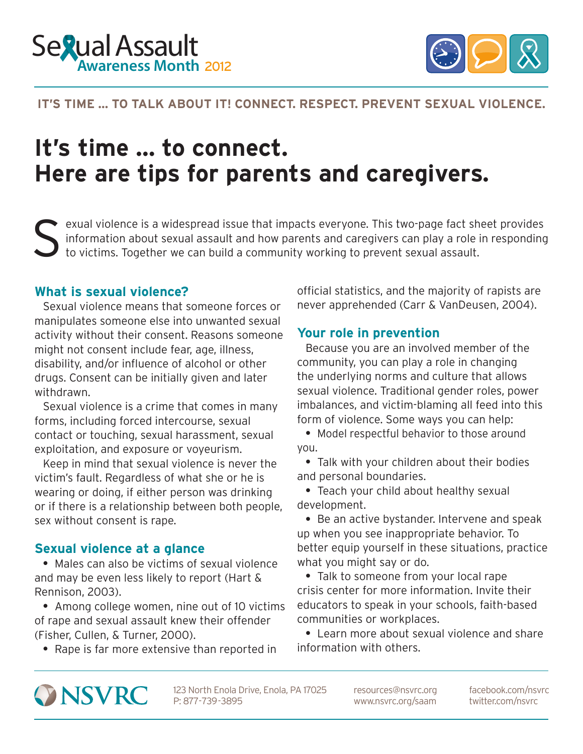



CONNECT. RESPECT. PREVENT SEXUAL VIOLENCE.

### **IT'S TIME … TO TALK ABOUT IT! CONNECT. RESPECT. PREVENT SEXUAL VIOLENCE.**

# **It's time … to connect. Here are tips for parents and caregivers.**

Sexual violence is a widespread issue that impacts everyone. This two-page fact sheet provides information about sexual assault and how parents and caregivers can play a role in responding to victims. Together we can build information about sexual assault and how parents and caregivers can play a role in responding to victims. Together we can build a community working to prevent sexual assault.

manipulates someone else into unwanted sexual activity without their consent. Reasons someone **Your role in prevention** might not consent include fear, age, illness, Because you are an involved member of the disability, and/or influence of alcohol or other community, you can play a role in changing drugs. Consent can be initially given and later the underlying norms and culture that allows withdrawn. sexual violence. Traditional gender roles, power

forms, including forced intercourse, sexual form of violence. Some ways you can help: contact or touching, sexual harassment, sexual • Model respectful behavior to those around exploitation, and exposure or voyeurism. you.

victim's fault. Regardless of what she or he is and personal boundaries. wearing or doing, if either person was drinking • Teach your child about healthy sexual or if there is a relationship between both people, development. sex without consent is rape.  $\bullet$  Be an active bystander. Intervene and speak

 $\bullet$  Males can also be victims of sexual violence what you might say or do. and may be even less likely to report (Hart  $\delta$  · Talk to someone from your local rape Rennison, 2003). crisis center for more information. Invite their

of rape and sexual assault knew their offender communities or workplaces. (Fisher, Cullen, & Turner, 2000). <br> **e** Learn more about sexual violence and share

• Rape is far more extensive than reported in information with others.

**What is sexual violence? official statistics, and the majority of rapists are** Sexual violence means that someone forces or never apprehended (Carr & VanDeusen, 2004).

Sexual violence is a crime that comes in many imbalances, and victim-blaming all feed into this

Keep in mind that sexual violence is never the  $\bullet$  Talk with your children about their bodies

up when you see inappropriate behavior. To **Sexual violence at a glance** better equip yourself in these situations, practice

• Among college women, nine out of 10 victims educators to speak in your schools, faith-based



123 North Enola Drive, Enola, PA 17025 P: 877-739-3895

resources@nsvrc.org www.nsvrc.org/saam

facebook.com/nsvrc twitter.com/nsvrc